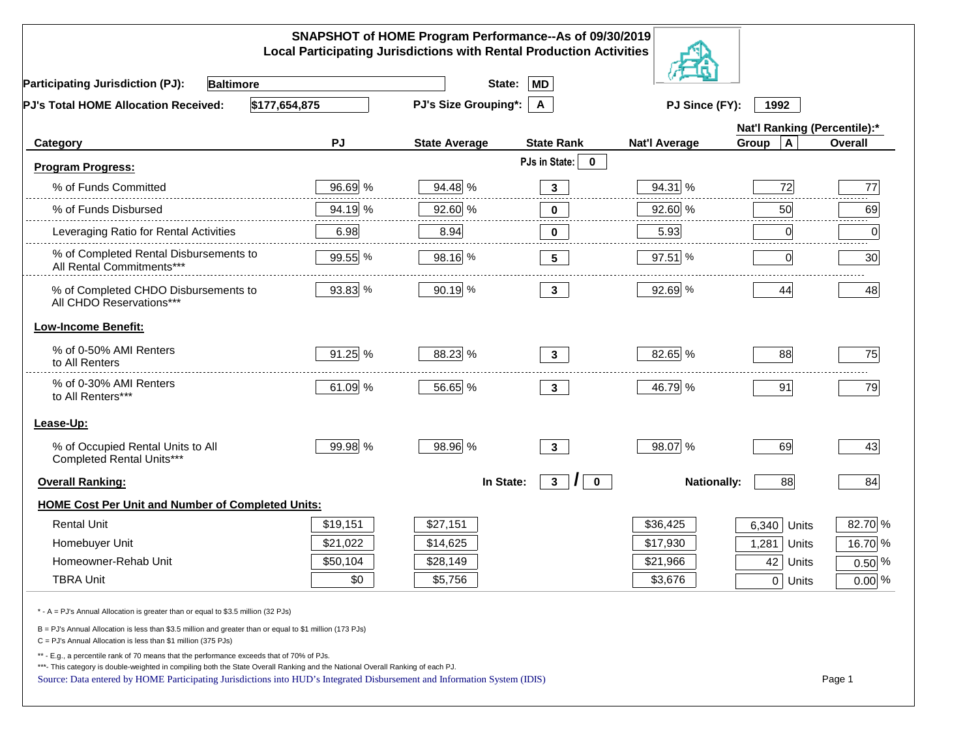| SNAPSHOT of HOME Program Performance--As of 09/30/2019<br><b>Local Participating Jurisdictions with Rental Production Activities</b>                                                                                                                                                                                                                     |          |                             |                                                 |                      |                              |                |  |
|----------------------------------------------------------------------------------------------------------------------------------------------------------------------------------------------------------------------------------------------------------------------------------------------------------------------------------------------------------|----------|-----------------------------|-------------------------------------------------|----------------------|------------------------------|----------------|--|
| <b>Participating Jurisdiction (PJ):</b><br><b>Baltimore</b>                                                                                                                                                                                                                                                                                              |          | State:                      | <b>MD</b>                                       |                      |                              |                |  |
| \$177,654,875<br>PJ's Total HOME Allocation Received:                                                                                                                                                                                                                                                                                                    |          | <b>PJ's Size Grouping*:</b> | $\mathsf{A}$                                    | PJ Since (FY):       | 1992                         |                |  |
|                                                                                                                                                                                                                                                                                                                                                          |          |                             |                                                 |                      | Nat'l Ranking (Percentile):* |                |  |
| Category                                                                                                                                                                                                                                                                                                                                                 | PJ       | <b>State Average</b>        | <b>State Rank</b>                               | <b>Nat'l Average</b> | $\mathbf{A}$<br>Group        | <b>Overall</b> |  |
| <b>Program Progress:</b>                                                                                                                                                                                                                                                                                                                                 |          |                             | PJs in State:<br>$\mathbf 0$                    |                      |                              |                |  |
| % of Funds Committed                                                                                                                                                                                                                                                                                                                                     | 96.69 %  | 94.48 %                     | $\mathbf{3}$                                    | 94.31 %              | 72                           | 77             |  |
| % of Funds Disbursed                                                                                                                                                                                                                                                                                                                                     | 94.19 %  | 92.60 %                     | -----<br>0                                      | 92.60 %              | 50                           | 69             |  |
| Leveraging Ratio for Rental Activities                                                                                                                                                                                                                                                                                                                   | 6.98     | 8.94                        | 0                                               | 5.93                 | 0                            | 0              |  |
| % of Completed Rental Disbursements to<br>All Rental Commitments***                                                                                                                                                                                                                                                                                      | 99.55 %  | 98.16 %                     | 5                                               | $97.51$ %            | 0                            | 30             |  |
| % of Completed CHDO Disbursements to<br>All CHDO Reservations***                                                                                                                                                                                                                                                                                         | 93.83 %  | 90.19 %                     | 3 <sup>1</sup>                                  | 92.69 %              | 44                           | 48             |  |
| <b>Low-Income Benefit:</b>                                                                                                                                                                                                                                                                                                                               |          |                             |                                                 |                      |                              |                |  |
| % of 0-50% AMI Renters<br>to All Renters                                                                                                                                                                                                                                                                                                                 | 91.25%   | 88.23 %                     | $3^{\circ}$                                     | 82.65 %              | 88                           | 75             |  |
| % of 0-30% AMI Renters<br>to All Renters***                                                                                                                                                                                                                                                                                                              | 61.09 %  | 56.65 %                     | $3^{\circ}$                                     | 46.79 %              | 91                           | 79             |  |
| Lease-Up:                                                                                                                                                                                                                                                                                                                                                |          |                             |                                                 |                      |                              |                |  |
| % of Occupied Rental Units to All<br>Completed Rental Units***                                                                                                                                                                                                                                                                                           | 99.98 %  | 98.96 %                     | 3 <sup>1</sup>                                  | 98.07 %              | 69                           | 43             |  |
| <b>Overall Ranking:</b>                                                                                                                                                                                                                                                                                                                                  |          | In State:                   | $\mathcal{L}$<br>3 <sup>1</sup><br>$\mathbf{0}$ | <b>Nationally:</b>   | 88                           | 84             |  |
| <b>HOME Cost Per Unit and Number of Completed Units:</b>                                                                                                                                                                                                                                                                                                 |          |                             |                                                 |                      |                              |                |  |
| <b>Rental Unit</b>                                                                                                                                                                                                                                                                                                                                       | \$19,151 | \$27,151                    |                                                 | \$36,425             | 6,340<br>Units               | 82.70 %        |  |
| Homebuyer Unit                                                                                                                                                                                                                                                                                                                                           | \$21,022 | \$14,625                    |                                                 | \$17,930             | 1,281<br>Units               | 16.70 %        |  |
| Homeowner-Rehab Unit                                                                                                                                                                                                                                                                                                                                     | \$50,104 | \$28,149                    |                                                 | \$21,966             | 42<br>Units                  | $0.50\%$       |  |
| <b>TBRA Unit</b>                                                                                                                                                                                                                                                                                                                                         | \$0      | \$5,756                     |                                                 | \$3,676              | 0 Units                      | $0.00\%$       |  |
| * - A = PJ's Annual Allocation is greater than or equal to \$3.5 million (32 PJs)                                                                                                                                                                                                                                                                        |          |                             |                                                 |                      |                              |                |  |
| B = PJ's Annual Allocation is less than \$3.5 million and greater than or equal to \$1 million (173 PJs)<br>C = PJ's Annual Allocation is less than \$1 million (375 PJs)                                                                                                                                                                                |          |                             |                                                 |                      |                              |                |  |
| ** - E.g., a percentile rank of 70 means that the performance exceeds that of 70% of PJs.<br>***- This category is double-weighted in compiling both the State Overall Ranking and the National Overall Ranking of each PJ.<br>Source: Data entered by HOME Participating Jurisdictions into HUD's Integrated Disbursement and Information System (IDIS) |          |                             |                                                 |                      |                              | Page 1         |  |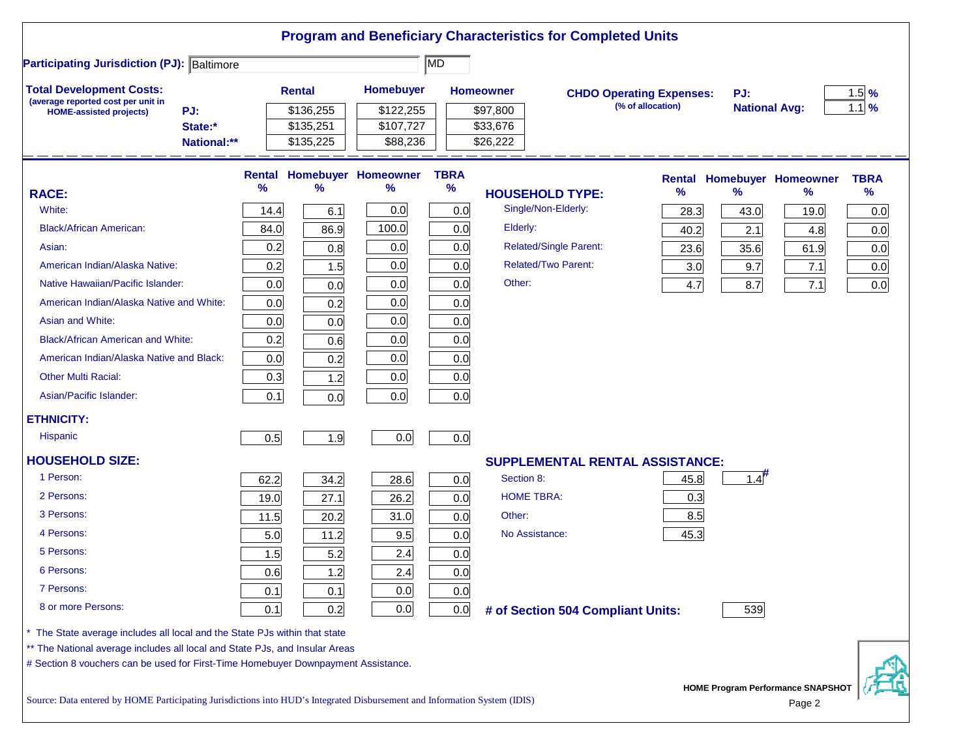|                                                                                                                           |                               |      |                                     |                                        |                     |                                  | <b>Program and Beneficiary Characteristics for Completed Units</b> |                   |                      |                                             |             |
|---------------------------------------------------------------------------------------------------------------------------|-------------------------------|------|-------------------------------------|----------------------------------------|---------------------|----------------------------------|--------------------------------------------------------------------|-------------------|----------------------|---------------------------------------------|-------------|
| <b>Participating Jurisdiction (PJ): Baltimore</b>                                                                         |                               |      |                                     |                                        | MD                  |                                  |                                                                    |                   |                      |                                             |             |
| <b>Total Development Costs:</b>                                                                                           |                               |      | <b>Rental</b>                       | Homebuyer                              |                     | <b>Homeowner</b>                 | <b>CHDO Operating Expenses:</b>                                    |                   | PJ:                  |                                             | $1.5$ %     |
| (average reported cost per unit in<br><b>HOME-assisted projects)</b>                                                      | PJ:<br>State:*<br>National:** |      | \$136,255<br>\$135,251<br>\$135,225 | \$122,255<br>\$107,727<br>\$88,236     |                     | \$97,800<br>\$33,676<br>\$26,222 |                                                                    | (% of allocation) | <b>National Avg:</b> |                                             | $1.1$ %     |
|                                                                                                                           |                               |      |                                     |                                        |                     |                                  |                                                                    |                   |                      |                                             |             |
|                                                                                                                           |                               | %    | $\%$                                | <b>Rental Homebuyer Homeowner</b><br>℅ | <b>TBRA</b><br>$\%$ |                                  |                                                                    |                   |                      | <b>Rental Homebuyer Homeowner</b>           | <b>TBRA</b> |
| <b>RACE:</b>                                                                                                              |                               |      |                                     |                                        |                     |                                  | <b>HOUSEHOLD TYPE:</b>                                             | $\%$              | $\frac{9}{6}$        | %                                           | %           |
| White:                                                                                                                    |                               | 14.4 | 6.1                                 | 0.0                                    | 0.0                 |                                  | Single/Non-Elderly:                                                | 28.3              | 43.0                 | 19.0                                        | 0.0         |
| <b>Black/African American:</b>                                                                                            |                               | 84.0 | 86.9                                | 100.0                                  | 0.0                 | Elderly:                         |                                                                    | 40.2              | 2.1                  | 4.8                                         | 0.0         |
| Asian:                                                                                                                    |                               | 0.2  | 0.8                                 | 0.0                                    | 0.0                 |                                  | <b>Related/Single Parent:</b>                                      | 23.6              | 35.6                 | 61.9                                        | 0.0         |
| American Indian/Alaska Native:                                                                                            |                               | 0.2  | 1.5                                 | 0.0                                    | 0.0                 |                                  | <b>Related/Two Parent:</b>                                         | 3.0               | 9.7                  | 7.1                                         | 0.0         |
| Native Hawaiian/Pacific Islander:                                                                                         |                               | 0.0  | 0.0                                 | 0.0                                    | 0.0                 | Other:                           |                                                                    | 4.7               | 8.7                  | 7.1                                         | 0.0         |
| American Indian/Alaska Native and White:                                                                                  |                               | 0.0  | 0.2                                 | 0.0                                    | 0.0                 |                                  |                                                                    |                   |                      |                                             |             |
| Asian and White:                                                                                                          |                               | 0.0  | 0.0                                 | 0.0                                    | 0.0                 |                                  |                                                                    |                   |                      |                                             |             |
| <b>Black/African American and White:</b>                                                                                  |                               | 0.2  | 0.6                                 | 0.0                                    | 0.0                 |                                  |                                                                    |                   |                      |                                             |             |
| American Indian/Alaska Native and Black:                                                                                  |                               | 0.0  | 0.2                                 | 0.0                                    | 0.0                 |                                  |                                                                    |                   |                      |                                             |             |
| <b>Other Multi Racial:</b>                                                                                                |                               | 0.3  | 1.2                                 | 0.0                                    | 0.0                 |                                  |                                                                    |                   |                      |                                             |             |
| Asian/Pacific Islander:                                                                                                   |                               | 0.1  | 0.0                                 | 0.0                                    | 0.0                 |                                  |                                                                    |                   |                      |                                             |             |
| <b>ETHNICITY:</b>                                                                                                         |                               |      |                                     |                                        |                     |                                  |                                                                    |                   |                      |                                             |             |
| <b>Hispanic</b>                                                                                                           |                               | 0.5  | 1.9                                 | 0.0                                    | 0.0                 |                                  |                                                                    |                   |                      |                                             |             |
| <b>HOUSEHOLD SIZE:</b>                                                                                                    |                               |      |                                     |                                        |                     |                                  | <b>SUPPLEMENTAL RENTAL ASSISTANCE:</b>                             |                   |                      |                                             |             |
| 1 Person:                                                                                                                 |                               | 62.2 | 34.2                                | 28.6                                   | 0.0                 | Section 8:                       |                                                                    | 45.8              | $1.4$ <sup>#</sup>   |                                             |             |
| 2 Persons:                                                                                                                |                               | 19.0 | 27.1                                | 26.2                                   | 0.0                 |                                  | <b>HOME TBRA:</b>                                                  | 0.3               |                      |                                             |             |
| 3 Persons:                                                                                                                |                               | 11.5 | 20.2                                | 31.0                                   | 0.0                 | Other:                           |                                                                    | 8.5               |                      |                                             |             |
| 4 Persons:                                                                                                                |                               | 5.0  | 11.2                                | 9.5                                    | 0.0                 |                                  | No Assistance:                                                     | 45.3              |                      |                                             |             |
| 5 Persons:                                                                                                                |                               | 1.5  | 5.2                                 | 2.4                                    | 0.0                 |                                  |                                                                    |                   |                      |                                             |             |
| 6 Persons:                                                                                                                |                               | 0.6  | 1.2                                 | 2.4                                    | 0.0                 |                                  |                                                                    |                   |                      |                                             |             |
| 7 Persons:                                                                                                                |                               | 0.1  | 0.1                                 | 0.0                                    | 0.0                 |                                  |                                                                    |                   |                      |                                             |             |
| 8 or more Persons:                                                                                                        |                               | 0.1  | 0.2                                 | 0.0                                    | 0.0                 |                                  | # of Section 504 Compliant Units:                                  |                   | 539                  |                                             |             |
| * The State average includes all local and the State PJs within that state                                                |                               |      |                                     |                                        |                     |                                  |                                                                    |                   |                      |                                             |             |
| ** The National average includes all local and State PJs, and Insular Areas                                               |                               |      |                                     |                                        |                     |                                  |                                                                    |                   |                      |                                             |             |
| # Section 8 vouchers can be used for First-Time Homebuyer Downpayment Assistance.                                         |                               |      |                                     |                                        |                     |                                  |                                                                    |                   |                      |                                             |             |
| Source: Data entered by HOME Participating Jurisdictions into HUD's Integrated Disbursement and Information System (IDIS) |                               |      |                                     |                                        |                     |                                  |                                                                    |                   |                      | HOME Program Performance SNAPSHOT<br>Page 2 |             |